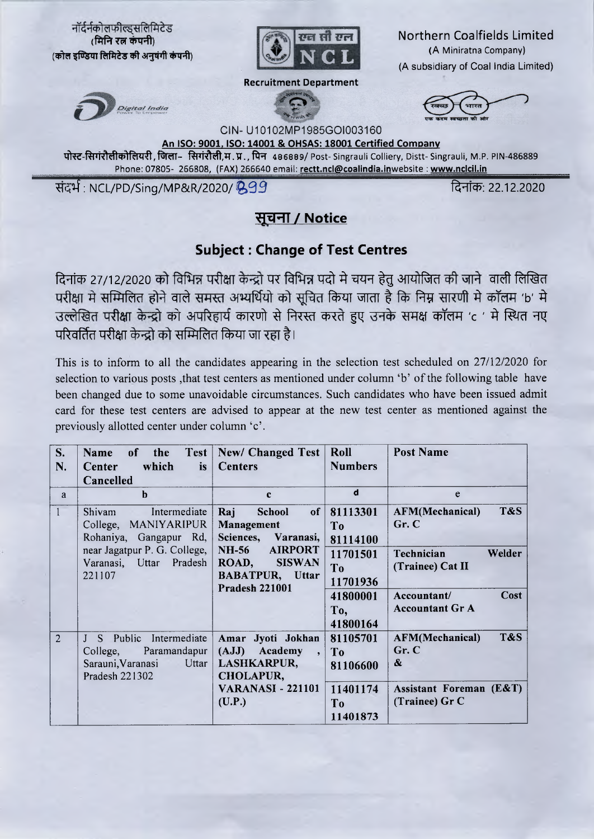

## सूचना / Notice

## **Subject: Change of Test Centres**

दिनांक 27/12/2020 को विभिन्न परीक्षा केन्द्रो पर विभिन्न पदो मे चयन हेतु आयोजित की जाने वाली लिखित परीक्षा मे सम्मिलित होने वाले समस्त अभ्यर्थियो को सूचित किया जाता है कि निम्न सारणी मे कॉलम 'b' मे उल्लेखित परीक्षा केन्द्रो को अपरिहार्य कारणो से निरस्त करते हुए उनके समक्ष कॉलम 'c ' मे स्थित नए परिवर्तित परीक्षा केन्द्रो को सम्मिलित किया जा रहा है।

This is to inform to all the candidates appearing in the selection test scheduled on 27/12/2020 for selection to various posts, that test centers as mentioned under column 'b' of the following table have been changed due to some unavoidable circumstances. Such candidates who have been issued admit card for these test centers are advised to appear at the new test center as mentioned against the previously allotted center under column 'c'.

| S.             | Test  <br>the<br>of<br>Name         | New/ Changed Test                       | Roll           | <b>Post Name</b>              |
|----------------|-------------------------------------|-----------------------------------------|----------------|-------------------------------|
| N.             | which<br><i>is</i><br>Center        | <b>Centers</b>                          | <b>Numbers</b> |                               |
|                | Cancelled                           |                                         |                |                               |
| a              | $\mathbf b$                         | $\mathbf c$                             | d              | e                             |
|                | Intermediate<br>Shivam              | <b>School</b><br>of <sub>l</sub><br>Raj | 81113301       | T&S<br><b>AFM(Mechanical)</b> |
|                | College, MANIYARIPUR                | Management                              | T <sub>o</sub> | Gr. C                         |
|                | Rohaniya, Gangapur Rd,              | Sciences, Varanasi,                     | 81114100       |                               |
|                | near Jagatpur P. G. College,        | <b>NH-56</b><br><b>AIRPORT</b>          | 11701501       | Welder<br>Technician          |
|                | Varanasi, Uttar Pradesh             | <b>SISWAN</b><br>ROAD,                  | To             | (Trainee) Cat II              |
|                | 221107                              | <b>BABATPUR, Uttar</b>                  | 11701936       |                               |
|                |                                     | <b>Pradesh 221001</b>                   | 41800001       | Cost<br>Accountant/           |
|                |                                     |                                         | To,            | <b>Accountant Gr A</b>        |
|                |                                     |                                         | 41800164       |                               |
| $\overline{2}$ | J S Public Intermediate             | Amar Jyoti Jokhan                       | 81105701       | T&S<br><b>AFM(Mechanical)</b> |
|                | Paramandapur<br>College,            | (AJJ) Academy<br>,                      | To             | Gr. C                         |
|                | Sarauni, Varanasi<br>$U_{\text{t}}$ | LASHKARPUR,                             | 81106600       | &                             |
|                | Pradesh 221302                      | <b>CHOLAPUR,</b>                        |                |                               |
|                |                                     | <b>VARANASI - 221101</b>                | 11401174       | Assistant Foreman (E&T)       |
|                |                                     | (U.P.)                                  | T <sub>0</sub> | (Trainee) Gr C                |
|                |                                     |                                         | 11401873       |                               |